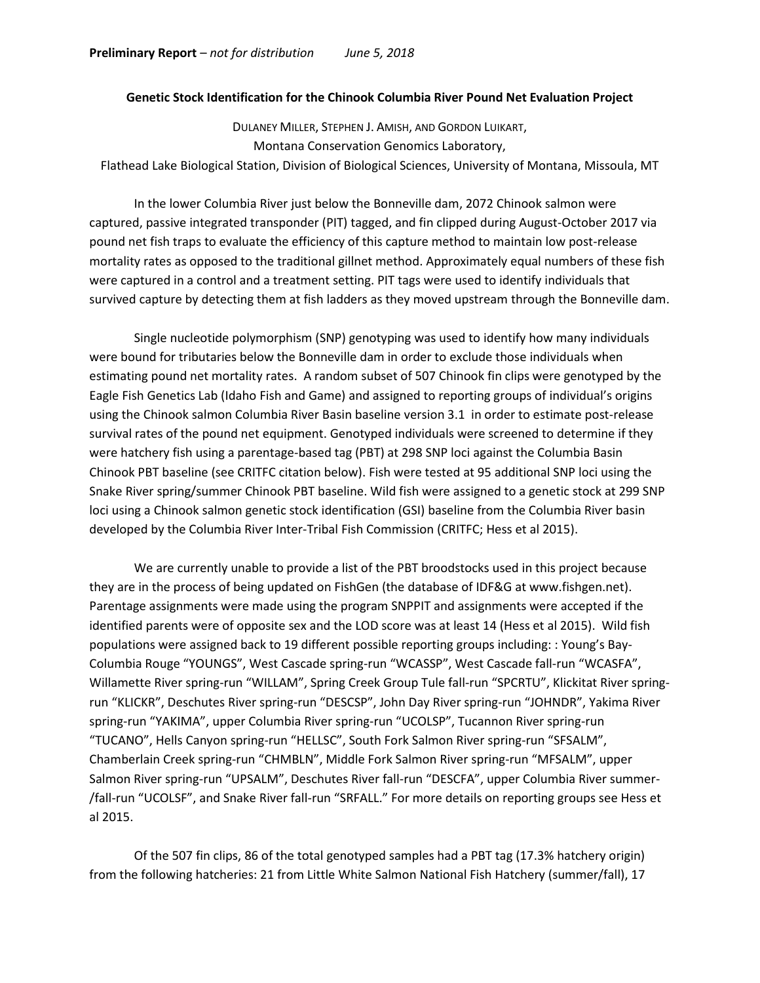## **Genetic Stock Identification for the Chinook Columbia River Pound Net Evaluation Project**

DULANEY MILLER, STEPHEN J. AMISH, AND GORDON LUIKART, Montana Conservation Genomics Laboratory, Flathead Lake Biological Station, Division of Biological Sciences, University of Montana, Missoula, MT

In the lower Columbia River just below the Bonneville dam, 2072 Chinook salmon were captured, passive integrated transponder (PIT) tagged, and fin clipped during August-October 2017 via pound net fish traps to evaluate the efficiency of this capture method to maintain low post-release mortality rates as opposed to the traditional gillnet method. Approximately equal numbers of these fish were captured in a control and a treatment setting. PIT tags were used to identify individuals that survived capture by detecting them at fish ladders as they moved upstream through the Bonneville dam.

Single nucleotide polymorphism (SNP) genotyping was used to identify how many individuals were bound for tributaries below the Bonneville dam in order to exclude those individuals when estimating pound net mortality rates. A random subset of 507 Chinook fin clips were genotyped by the Eagle Fish Genetics Lab (Idaho Fish and Game) and assigned to reporting groups of individual's origins using the Chinook salmon Columbia River Basin baseline version 3.1 in order to estimate post-release survival rates of the pound net equipment. Genotyped individuals were screened to determine if they were hatchery fish using a parentage-based tag (PBT) at 298 SNP loci against the Columbia Basin Chinook PBT baseline (see CRITFC citation below). Fish were tested at 95 additional SNP loci using the Snake River spring/summer Chinook PBT baseline. Wild fish were assigned to a genetic stock at 299 SNP loci using a Chinook salmon genetic stock identification (GSI) baseline from the Columbia River basin developed by the Columbia River Inter-Tribal Fish Commission (CRITFC; Hess et al 2015).

We are currently unable to provide a list of the PBT broodstocks used in this project because they are in the process of being updated on FishGen (the database of IDF&G at www.fishgen.net). Parentage assignments were made using the program SNPPIT and assignments were accepted if the identified parents were of opposite sex and the LOD score was at least 14 (Hess et al 2015). Wild fish populations were assigned back to 19 different possible reporting groups including: : Young's Bay-Columbia Rouge "YOUNGS", West Cascade spring-run "WCASSP", West Cascade fall-run "WCASFA", Willamette River spring-run "WILLAM", Spring Creek Group Tule fall-run "SPCRTU", Klickitat River springrun "KLICKR", Deschutes River spring-run "DESCSP", John Day River spring-run "JOHNDR", Yakima River spring-run "YAKIMA", upper Columbia River spring-run "UCOLSP", Tucannon River spring-run "TUCANO", Hells Canyon spring-run "HELLSC", South Fork Salmon River spring-run "SFSALM", Chamberlain Creek spring-run "CHMBLN", Middle Fork Salmon River spring-run "MFSALM", upper Salmon River spring-run "UPSALM", Deschutes River fall-run "DESCFA", upper Columbia River summer- /fall-run "UCOLSF", and Snake River fall-run "SRFALL." For more details on reporting groups see Hess et al 2015.

Of the 507 fin clips, 86 of the total genotyped samples had a PBT tag (17.3% hatchery origin) from the following hatcheries: 21 from Little White Salmon National Fish Hatchery (summer/fall), 17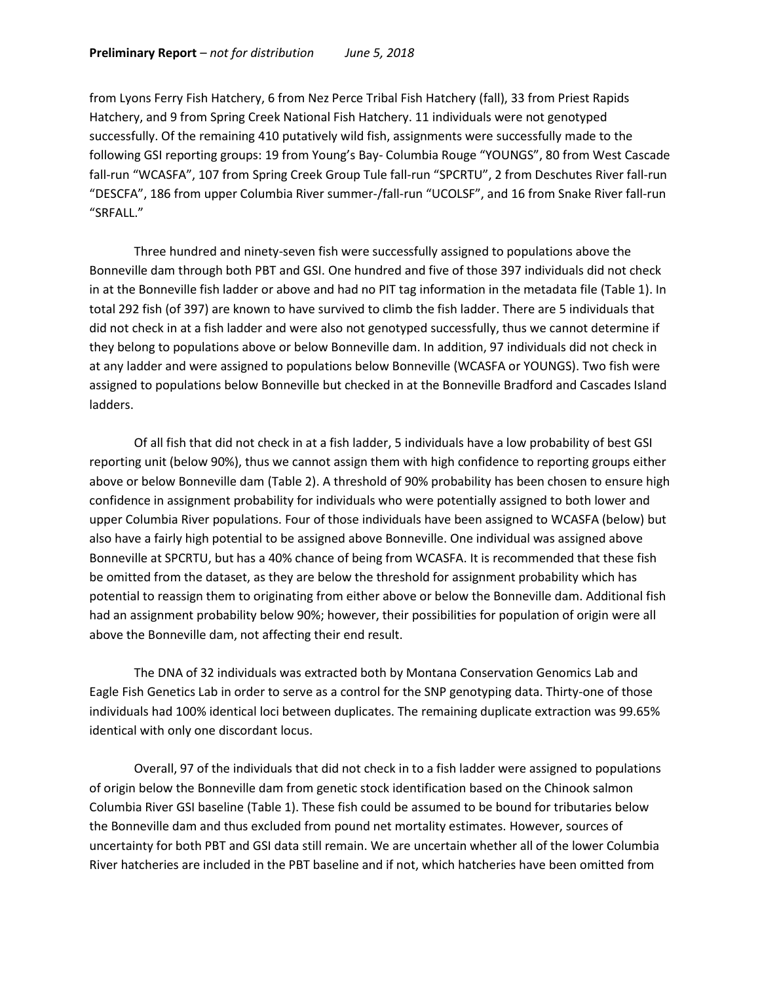from Lyons Ferry Fish Hatchery, 6 from Nez Perce Tribal Fish Hatchery (fall), 33 from Priest Rapids Hatchery, and 9 from Spring Creek National Fish Hatchery. 11 individuals were not genotyped successfully. Of the remaining 410 putatively wild fish, assignments were successfully made to the following GSI reporting groups: 19 from Young's Bay- Columbia Rouge "YOUNGS", 80 from West Cascade fall-run "WCASFA", 107 from Spring Creek Group Tule fall-run "SPCRTU", 2 from Deschutes River fall-run "DESCFA", 186 from upper Columbia River summer-/fall-run "UCOLSF", and 16 from Snake River fall-run "SRFALL."

Three hundred and ninety-seven fish were successfully assigned to populations above the Bonneville dam through both PBT and GSI. One hundred and five of those 397 individuals did not check in at the Bonneville fish ladder or above and had no PIT tag information in the metadata file (Table 1). In total 292 fish (of 397) are known to have survived to climb the fish ladder. There are 5 individuals that did not check in at a fish ladder and were also not genotyped successfully, thus we cannot determine if they belong to populations above or below Bonneville dam. In addition, 97 individuals did not check in at any ladder and were assigned to populations below Bonneville (WCASFA or YOUNGS). Two fish were assigned to populations below Bonneville but checked in at the Bonneville Bradford and Cascades Island ladders.

Of all fish that did not check in at a fish ladder, 5 individuals have a low probability of best GSI reporting unit (below 90%), thus we cannot assign them with high confidence to reporting groups either above or below Bonneville dam (Table 2). A threshold of 90% probability has been chosen to ensure high confidence in assignment probability for individuals who were potentially assigned to both lower and upper Columbia River populations. Four of those individuals have been assigned to WCASFA (below) but also have a fairly high potential to be assigned above Bonneville. One individual was assigned above Bonneville at SPCRTU, but has a 40% chance of being from WCASFA. It is recommended that these fish be omitted from the dataset, as they are below the threshold for assignment probability which has potential to reassign them to originating from either above or below the Bonneville dam. Additional fish had an assignment probability below 90%; however, their possibilities for population of origin were all above the Bonneville dam, not affecting their end result.

The DNA of 32 individuals was extracted both by Montana Conservation Genomics Lab and Eagle Fish Genetics Lab in order to serve as a control for the SNP genotyping data. Thirty-one of those individuals had 100% identical loci between duplicates. The remaining duplicate extraction was 99.65% identical with only one discordant locus.

Overall, 97 of the individuals that did not check in to a fish ladder were assigned to populations of origin below the Bonneville dam from genetic stock identification based on the Chinook salmon Columbia River GSI baseline (Table 1). These fish could be assumed to be bound for tributaries below the Bonneville dam and thus excluded from pound net mortality estimates. However, sources of uncertainty for both PBT and GSI data still remain. We are uncertain whether all of the lower Columbia River hatcheries are included in the PBT baseline and if not, which hatcheries have been omitted from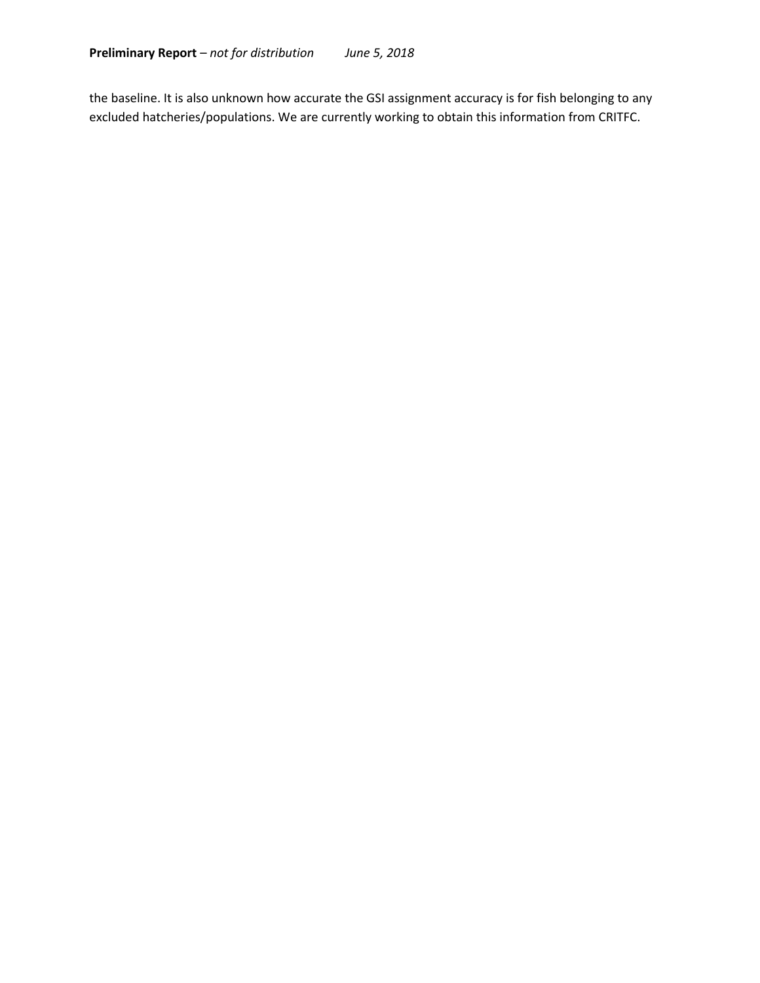the baseline. It is also unknown how accurate the GSI assignment accuracy is for fish belonging to any excluded hatcheries/populations. We are currently working to obtain this information from CRITFC.